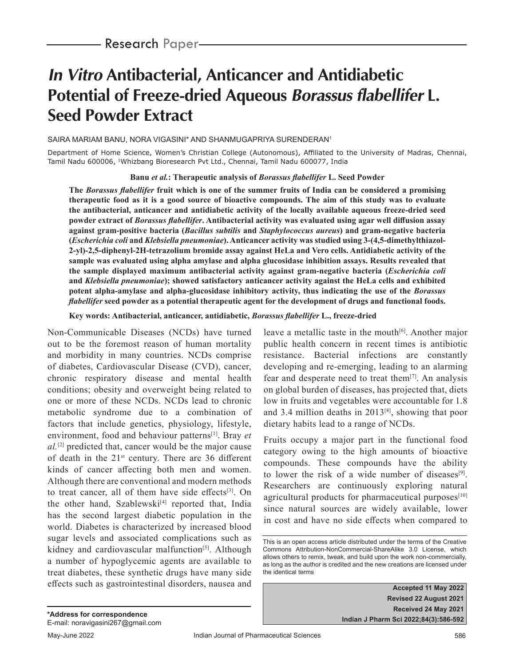# **In Vitro Antibacterial, Anticancer and Antidiabetic Potential of Freeze-dried Aqueous Borassus flabellifer L. Seed Powder Extract**

SAIRA MARIAM BANU, NORA VIGASINI\* AND SHANMUGAPRIYA SURENDERAN1

Department of Home Science, Women's Christian College (Autonomous), Affiliated to the University of Madras, Chennai, Tamil Nadu 600006, <sup>1</sup>Whizbang Bioresearch Pvt Ltd., Chennai, Tamil Nadu 600077, India

**Banu** *et al.***: Therapeutic analysis of** *Borassus flabellifer* **L. Seed Powder**

**The** *Borassus flabellifer* **fruit which is one of the summer fruits of India can be considered a promising therapeutic food as it is a good source of bioactive compounds. The aim of this study was to evaluate the antibacterial, anticancer and antidiabetic activity of the locally available aqueous freeze-dried seed powder extract of** *Borassus flabellifer***. Antibacterial activity was evaluated using agar well diffusion assay against gram-positive bacteria (***Bacillus subtilis* **and** *Staphylococcus aureus***) and gram-negative bacteria (***Escherichia coli* **and** *Klebsiella pneumoniae***). Anticancer activity was studied using 3-(4,5-dimethylthiazol-2-yl)-2,5-diphenyl-2H-tetrazolium bromide assay against HeLa and Vero cells. Antidiabetic activity of the sample was evaluated using alpha amylase and alpha glucosidase inhibition assays. Results revealed that the sample displayed maximum antibacterial activity against gram-negative bacteria (***Escherichia coli*  **and** *Klebsiella pneumoniae***); showed satisfactory anticancer activity against the HeLa cells and exhibited potent alpha-amylase and alpha-glucosidase inhibitory activity, thus indicating the use of the** *Borassus flabellifer* **seed powder as a potential therapeutic agent for the development of drugs and functional foods.**

**Key words: Antibacterial, anticancer, antidiabetic,** *Borassus flabellifer* **L., freeze-dried**

Non-Communicable Diseases (NCDs) have turned out to be the foremost reason of human mortality and morbidity in many countries. NCDs comprise of diabetes, Cardiovascular Disease (CVD), cancer, chronic respiratory disease and mental health conditions; obesity and overweight being related to one or more of these NCDs. NCDs lead to chronic metabolic syndrome due to a combination of factors that include genetics, physiology, lifestyle, environment, food and behaviour patterns[1]. Bray *et al.*[2] predicted that, cancer would be the major cause of death in the  $21<sup>st</sup>$  century. There are 36 different kinds of cancer affecting both men and women. Although there are conventional and modern methods to treat cancer, all of them have side effects $[3]$ . On the other hand, Szablewski<sup>[4]</sup> reported that, India has the second largest diabetic population in the world. Diabetes is characterized by increased blood sugar levels and associated complications such as kidney and cardiovascular malfunction<sup>[5]</sup>. Although a number of hypoglycemic agents are available to treat diabetes, these synthetic drugs have many side effects such as gastrointestinal disorders, nausea and

leave a metallic taste in the mouth $[6]$ . Another major public health concern in recent times is antibiotic resistance. Bacterial infections are constantly developing and re-emerging, leading to an alarming fear and desperate need to treat them $[7]$ . An analysis on global burden of diseases, has projected that, diets low in fruits and vegetables were accountable for 1.8 and 3.4 million deaths in 2013[8], showing that poor dietary habits lead to a range of NCDs.

Fruits occupy a major part in the functional food category owing to the high amounts of bioactive compounds. These compounds have the ability to lower the risk of a wide number of diseases<sup>[9]</sup>. Researchers are continuously exploring natural agricultural products for pharmaceutical purposes $[10]$ since natural sources are widely available, lower in cost and have no side effects when compared to

**Accepted 11 May 2022 Revised 22 August 2021 Received 24 May 2021 Indian J Pharm Sci 2022;84(3):586-592**

This is an open access article distributed under the terms of the Creative Commons Attribution-NonCommercial-ShareAlike 3.0 License, which allows others to remix, tweak, and build upon the work non-commercially, as long as the author is credited and the new creations are licensed under the identical terms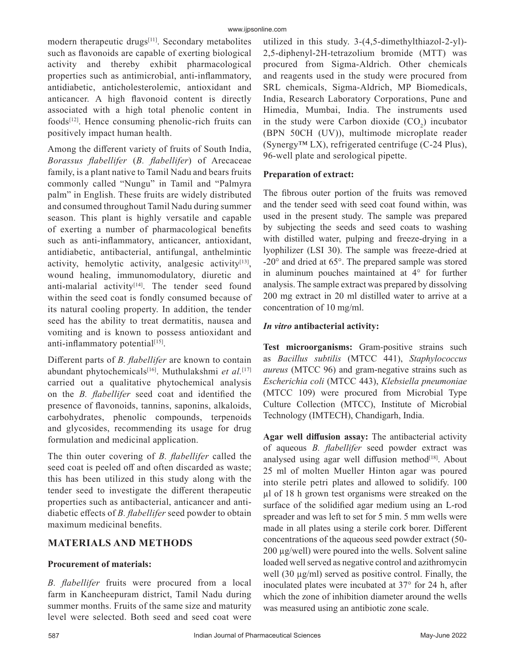modern therapeutic drugs<sup>[11]</sup>. Secondary metabolites such as flavonoids are capable of exerting biological activity and thereby exhibit pharmacological properties such as antimicrobial, anti-inflammatory, antidiabetic, anticholesterolemic, antioxidant and anticancer. A high flavonoid content is directly associated with a high total phenolic content in  $foods^{[12]}$ . Hence consuming phenolic-rich fruits can positively impact human health.

Among the different variety of fruits of South India, *Borassus flabellifer* (*B. flabellifer*) of Arecaceae family, is a plant native to Tamil Nadu and bears fruits commonly called "Nungu" in Tamil and "Palmyra palm" in English. These fruits are widely distributed and consumed throughout Tamil Nadu during summer season. This plant is highly versatile and capable of exerting a number of pharmacological benefits such as anti-inflammatory, anticancer, antioxidant, antidiabetic, antibacterial, antifungal, anthelmintic activity, hemolytic activity, analgesic activity<sup>[13]</sup>, wound healing, immunomodulatory, diuretic and anti-malarial activity<sup>[14]</sup>. The tender seed found within the seed coat is fondly consumed because of its natural cooling property. In addition, the tender seed has the ability to treat dermatitis, nausea and vomiting and is known to possess antioxidant and anti-inflammatory potential<sup>[15]</sup>.

Different parts of *B. flabellifer* are known to contain abundant phytochemicals[16]. Muthulakshmi *et al.*[17] carried out a qualitative phytochemical analysis on the *B. flabellifer* seed coat and identified the presence of flavonoids, tannins, saponins, alkaloids, carbohydrates, phenolic compounds, terpenoids and glycosides, recommending its usage for drug formulation and medicinal application.

The thin outer covering of *B. flabellifer* called the seed coat is peeled off and often discarded as waste; this has been utilized in this study along with the tender seed to investigate the different therapeutic properties such as antibacterial, anticancer and antidiabetic effects of *B. flabellifer* seed powder to obtain maximum medicinal benefits.

# **MATERIALS AND METHODS**

# **Procurement of materials:**

*B. flabellifer* fruits were procured from a local farm in Kancheepuram district, Tamil Nadu during summer months. Fruits of the same size and maturity level were selected. Both seed and seed coat were utilized in this study. 3-(4,5-dimethylthiazol-2-yl)- 2,5-diphenyl-2H-tetrazolium bromide (MTT) was procured from Sigma-Aldrich. Other chemicals and reagents used in the study were procured from SRL chemicals, Sigma-Aldrich, MP Biomedicals, India, Research Laboratory Corporations, Pune and Himedia, Mumbai, India. The instruments used in the study were Carbon dioxide  $(CO_2)$  incubator (BPN 50CH (UV)), multimode microplate reader (Synergy™ LX), refrigerated centrifuge (C-24 Plus), 96-well plate and serological pipette.

# **Preparation of extract:**

The fibrous outer portion of the fruits was removed and the tender seed with seed coat found within, was used in the present study. The sample was prepared by subjecting the seeds and seed coats to washing with distilled water, pulping and freeze-drying in a lyophilizer (LSI 30). The sample was freeze-dried at -20° and dried at 65°. The prepared sample was stored in aluminum pouches maintained at 4° for further analysis. The sample extract was prepared by dissolving 200 mg extract in 20 ml distilled water to arrive at a concentration of 10 mg/ml.

# *In vitro* **antibacterial activity:**

**Test microorganisms:** Gram-positive strains such as *Bacillus subtilis* (MTCC 441), *Staphylococcus aureus* (MTCC 96) and gram-negative strains such as *Escherichia coli* (MTCC 443), *Klebsiella pneumoniae* (MTCC 109) were procured from Microbial Type Culture Collection (MTCC), Institute of Microbial Technology (IMTECH), Chandigarh, India.

**Agar well diffusion assay:** The antibacterial activity of aqueous *B. flabellifer* seed powder extract was analysed using agar well diffusion method $[18]$ . About 25 ml of molten Mueller Hinton agar was poured into sterile petri plates and allowed to solidify. 100 µl of 18 h grown test organisms were streaked on the surface of the solidified agar medium using an L-rod spreader and was left to set for 5 min. 5 mm wells were made in all plates using a sterile cork borer. Different concentrations of the aqueous seed powder extract (50- 200 µg/well) were poured into the wells. Solvent saline loaded well served as negative control and azithromycin well (30 µg/ml) served as positive control. Finally, the inoculated plates were incubated at 37° for 24 h, after which the zone of inhibition diameter around the wells was measured using an antibiotic zone scale.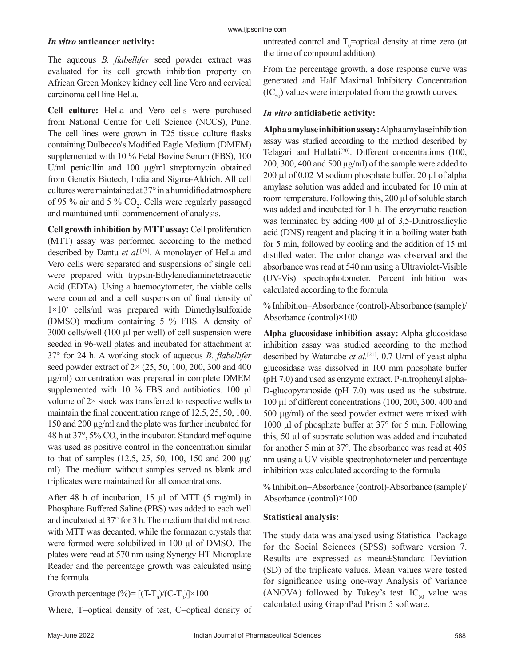### *In vitro* **anticancer activity:**

The aqueous *B. flabellifer* seed powder extract was evaluated for its cell growth inhibition property on African Green Monkey kidney cell line Vero and cervical carcinoma cell line HeLa.

**Cell culture:** HeLa and Vero cells were purchased from National Centre for Cell Science (NCCS), Pune. The cell lines were grown in T25 tissue culture flasks containing Dulbecco's Modified Eagle Medium (DMEM) supplemented with 10 % Fetal Bovine Serum (FBS), 100 U/ml penicillin and 100  $\mu$ g/ml streptomycin obtained from Genetix Biotech, India and Sigma-Aldrich. All cell cultures were maintained at 37° in a humidified atmosphere of 95 % air and 5 %  $CO_2$ . Cells were regularly passaged and maintained until commencement of analysis.

**Cell growth inhibition by MTT assay:** Cell proliferation (MTT) assay was performed according to the method described by Dantu *et al.*[19]. A monolayer of HeLa and Vero cells were separated and suspensions of single cell were prepared with trypsin-Ethylenediaminetetraacetic Acid (EDTA). Using a haemocytometer, the viable cells were counted and a cell suspension of final density of 1×105 cells/ml was prepared with Dimethylsulfoxide (DMSO) medium containing 5 % FBS. A density of 3000 cells/well (100 µl per well) of cell suspension were seeded in 96-well plates and incubated for attachment at 37° for 24 h. A working stock of aqueous *B. flabellifer*  seed powder extract of 2× (25, 50, 100, 200, 300 and 400 µg/ml) concentration was prepared in complete DMEM supplemented with 10 % FBS and antibiotics. 100 μl volume of  $2 \times$  stock was transferred to respective wells to maintain the final concentration range of 12.5, 25, 50, 100, 150 and 200 μg/ml and the plate was further incubated for 48 h at 37°, 5%  $CO_2$  in the incubator. Standard mefloquine was used as positive control in the concentration similar to that of samples (12.5, 25, 50, 100, 150 and 200 µg/ ml). The medium without samples served as blank and triplicates were maintained for all concentrations.

After 48 h of incubation, 15 µl of MTT (5 mg/ml) in Phosphate Buffered Saline (PBS) was added to each well and incubated at 37° for 3 h. The medium that did not react with MTT was decanted, while the formazan crystals that were formed were solubilized in 100 µl of DMSO. The plates were read at 570 nm using Synergy HT Microplate Reader and the percentage growth was calculated using the formula

Growth percentage  $(\%)=$   $[(T-T_0)/(C-T_0)] \times 100$ 

Where, T=optical density of test, C=optical density of

untreated control and  $T_0$ =optical density at time zero (at the time of compound addition).

From the percentage growth, a dose response curve was generated and Half Maximal Inhibitory Concentration  $(IC_{50})$  values were interpolated from the growth curves.

# *In vitro* **antidiabetic activity:**

**Alpha amylase inhibition assay:** Alpha amylase inhibition assay was studied according to the method described by Telagari and Hullatti<sup>[20]</sup>. Different concentrations  $(100, 100)$ 200, 300, 400 and 500  $\mu$ g/ml) of the sample were added to 200 µl of 0.02 M sodium phosphate buffer. 20 µl of alpha amylase solution was added and incubated for 10 min at room temperature. Following this, 200 µl of soluble starch was added and incubated for 1 h. The enzymatic reaction was terminated by adding 400 µl of 3,5-Dinitrosalicylic acid (DNS) reagent and placing it in a boiling water bath for 5 min, followed by cooling and the addition of 15 ml distilled water. The color change was observed and the absorbance was read at 540 nm using a Ultraviolet-Visible (UV-Vis) spectrophotometer. Percent inhibition was calculated according to the formula

% Inhibition=Absorbance (control)-Absorbance (sample)/ Absorbance (control)×100

**Alpha glucosidase inhibition assay:** Alpha glucosidase inhibition assay was studied according to the method described by Watanabe *et al.*[21]. 0.7 U/ml of yeast alpha glucosidase was dissolved in 100 mm phosphate buffer (pH 7.0) and used as enzyme extract. P-nitrophenyl alpha-D-glucopyranoside (pH 7.0) was used as the substrate. 100 µl of different concentrations (100, 200, 300, 400 and 500 µg/ml) of the seed powder extract were mixed with 1000 µl of phosphate buffer at 37° for 5 min. Following this, 50 µl of substrate solution was added and incubated for another 5 min at 37°. The absorbance was read at 405 nm using a UV visible spectrophotometer and percentage inhibition was calculated according to the formula

% Inhibition=Absorbance (control)-Absorbance (sample)/ Absorbance (control)×100

# **Statistical analysis:**

The study data was analysed using Statistical Package for the Social Sciences (SPSS) software version 7. Results are expressed as mean±Standard Deviation (SD) of the triplicate values. Mean values were tested for significance using one-way Analysis of Variance (ANOVA) followed by Tukey's test. IC<sub>50</sub> value was calculated using GraphPad Prism 5 software.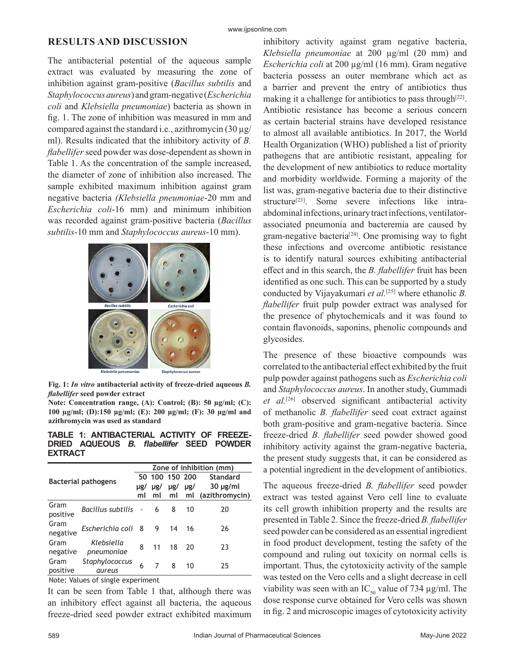#### www.ijpsonline.com

### **RESULTS AND DISCUSSION**

The antibacterial potential of the aqueous sample extract was evaluated by measuring the zone of inhibition against gram-positive (*Bacillus subtilis* and *Staphylococcus aureus*) and gram-negative (*Escherichia coli* and *Klebsiella pneumoniae*) bacteria as shown in fig. 1. The zone of inhibition was measured in mm and compared against the standard i.e., azithromycin (30 µg/ ml). Results indicated that the inhibitory activity of *B. flabellifer* seed powder was dose-dependent as shown in Table 1. As the concentration of the sample increased, the diameter of zone of inhibition also increased. The sample exhibited maximum inhibition against gram negative bacteria *(Klebsiella pneumoniae*-20 mm and *Escherichia coli*-16 mm) and minimum inhibition was recorded against gram-positive bacteria (*Bacillus subtilis*-10 mm and *Staphylococcus aureus*-10 mm).



**Fig. 1:** *In vitro* **antibacterial activity of freeze-dried aqueous** *B. flabellifer* **seed powder extract** 

**Note: Concentration range, (A): Control; (B): 50 µg/ml; (C): 100 µg/ml; (D):150 µg/ml; (E): 200 µg/ml; (F): 30 µg/ml and azithromycin was used as standard**

**TABLE 1: ANTIBACTERIAL ACTIVITY OF FREEZE-DRIED AQUEOUS** *B. flabellifer* **SEED POWDER EXTRACT**

| <b>Bacterial pathogens</b> |                          | Zone of inhibition (mm) |                |     |          |                |
|----------------------------|--------------------------|-------------------------|----------------|-----|----------|----------------|
|                            |                          |                         | 50 100 150 200 |     |          | Standard       |
|                            |                          | $\mu$ g/                | $\mu$ g/       | µg/ | $\mu$ g/ | $30 \mu g/ml$  |
|                            |                          | ml                      | ml             | ml  | ml       | (azithromycin) |
| Gram<br>positive           | Bacillus subtilis        | $\sim$                  | 6              | 8   | 10       | 20             |
| Gram<br>negative           | Escherichia coli         | - 8                     | 9              | 14  | 16       | 26             |
| Gram<br>negative           | Klebsiella<br>pneumoniae | 8                       | 11             | 18  | 20       | 23             |
| Gram<br>positive           | Staphylococcus<br>aureus | 6                       | 7              | 8   | 10       | 25             |
| .                          |                          |                         |                |     |          |                |

Note: Values of single experiment

It can be seen from Table 1 that, although there was an inhibitory effect against all bacteria, the aqueous freeze-dried seed powder extract exhibited maximum

inhibitory activity against gram negative bacteria, *Klebsiella pneumoniae* at 200 µg/ml (20 mm) and *Escherichia coli* at 200 µg/ml (16 mm). Gram negative bacteria possess an outer membrane which act as a barrier and prevent the entry of antibiotics thus making it a challenge for antibiotics to pass through  $[22]$ . Antibiotic resistance has become a serious concern as certain bacterial strains have developed resistance to almost all available antibiotics. In 2017, the World Health Organization (WHO) published a list of priority pathogens that are antibiotic resistant, appealing for the development of new antibiotics to reduce mortality and morbidity worldwide. Forming a majority of the list was, gram-negative bacteria due to their distinctive structure<sup>[23]</sup>. Some severe infections like intraabdominal infections, urinary tract infections, ventilatorassociated pneumonia and bacteremia are caused by gram-negative bacteria<sup>[24]</sup>. One promising way to fight these infections and overcome antibiotic resistance is to identify natural sources exhibiting antibacterial effect and in this search, the *B. flabellifer* fruit has been identified as one such. This can be supported by a study conducted by Vijayakumari *et al.*[25] where ethanolic *B. flabellifer* fruit pulp powder extract was analysed for the presence of phytochemicals and it was found to contain flavonoids, saponins, phenolic compounds and glycosides.

The presence of these bioactive compounds was correlated to the antibacterial effect exhibited by the fruit pulp powder against pathogens such as *Escherichia coli*  and *Staphylococcus aureus*. In another study, Gummadi *et al.*[26] observed significant antibacterial activity of methanolic *B. flabellifer* seed coat extract against both gram-positive and gram-negative bacteria. Since freeze-dried *B. flabellifer* seed powder showed good inhibitory activity against the gram-negative bacteria, the present study suggests that, it can be considered as a potential ingredient in the development of antibiotics.

The aqueous freeze-dried *B. flabellifer* seed powder extract was tested against Vero cell line to evaluate its cell growth inhibition property and the results are presented in Table 2. Since the freeze-dried *B. flabellifer*  seed powder can be considered as an essential ingredient in food product development, testing the safety of the compound and ruling out toxicity on normal cells is important. Thus, the cytotoxicity activity of the sample was tested on the Vero cells and a slight decrease in cell viability was seen with an IC<sub>50</sub> value of 734  $\mu$ g/ml. The dose response curve obtained for Vero cells was shown in fig. 2 and microscopic images of cytotoxicity activity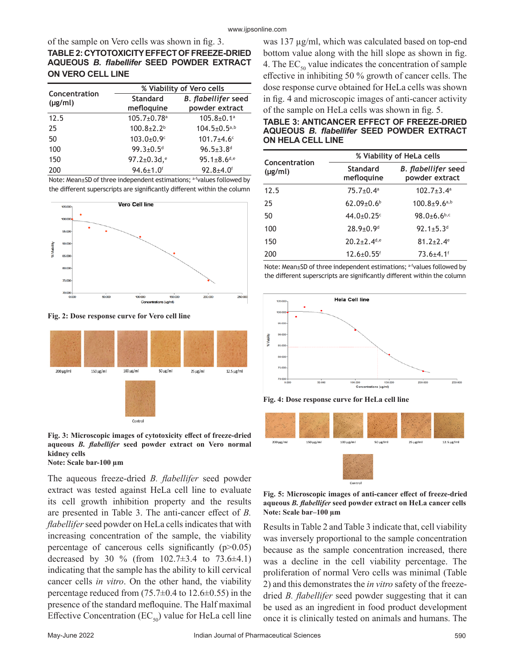of the sample on Vero cells was shown in fig. 3.

# **TABLE 2: CYTOTOXICITY EFFECT OF FREEZE-DRIED AQUEOUS** *B. flabellifer* **SEED POWDER EXTRACT ON VERO CELL LINE**

|                               | % Viability of Vero cells     |                                              |  |  |  |
|-------------------------------|-------------------------------|----------------------------------------------|--|--|--|
| Concentration<br>$(\mu g/ml)$ | <b>Standard</b><br>mefloquine | <b>B.</b> flabellifer seed<br>powder extract |  |  |  |
| 12.5                          | $105.7 \pm 0.78$ <sup>a</sup> | $105.8 \pm 0.1$ <sup>a</sup>                 |  |  |  |
| 25                            | $100.8 \pm 2.2$ <sup>b</sup>  | $104.5 \pm 0.5^{a,b}$                        |  |  |  |
| 50                            | $103.0 \pm 0.9$ <sup>c</sup>  | $101.7 \pm 4.6$ <sup>c</sup>                 |  |  |  |
| 100                           | $99.3 \pm 0.5$ <sup>d</sup>   | $96.5 \pm 3.8$ <sup>d</sup>                  |  |  |  |
| 150                           | 97.2 $\pm$ 0.3d, $e$          | $95.1 \pm 8.6^{d,e}$                         |  |  |  |
| 200                           | $94.6 \pm 1.0$ <sup>f</sup>   | $92.8 + 4.0$ <sup>f</sup>                    |  |  |  |

Note: Mean±SD of three independent estimations; afvalues followed by the different superscripts are significantly different within the column



**Fig. 2: Dose response curve for Vero cell line** 



**Fig. 3: Microscopic images of cytotoxicity effect of freeze-dried aqueous** *B. flabellifer* **seed powder extract on Vero normal kidney cells**

### **Note: Scale bar-100 µm**

The aqueous freeze-dried *B. flabellifer* seed powder extract was tested against HeLa cell line to evaluate its cell growth inhibition property and the results are presented in Table 3. The anti-cancer effect of *B. flabellifer* seed powder on HeLa cells indicates that with increasing concentration of the sample, the viability percentage of cancerous cells significantly  $(p>0.05)$ decreased by 30 % (from  $102.7 \pm 3.4$  to  $73.6 \pm 4.1$ ) indicating that the sample has the ability to kill cervical cancer cells *in vitro*. On the other hand, the viability percentage reduced from  $(75.7\pm0.4$  to  $12.6\pm0.55)$  in the presence of the standard mefloquine. The Half maximal Effective Concentration  $(EC_{50})$  value for HeLa cell line was 137 µg/ml, which was calculated based on top-end bottom value along with the hill slope as shown in fig. 4. The  $EC_{50}$  value indicates the concentration of sample effective in inhibiting 50 % growth of cancer cells. The dose response curve obtained for HeLa cells was shown in fig. 4 and microscopic images of anti-cancer activity of the sample on HeLa cells was shown in fig. 5.

### **TABLE 3: ANTICANCER EFFECT OF FREEZE-DRIED AQUEOUS** *B. flabellifer* **SEED POWDER EXTRACT ON HELA CELL LINE**

| Concentration | % Viability of HeLa cells    |                                              |  |  |
|---------------|------------------------------|----------------------------------------------|--|--|
| $(\mu g/ml)$  | Standard<br>mefloquine       | <b>B.</b> flabellifer seed<br>powder extract |  |  |
| 12.5          | $75.7 \pm 0.4$ <sup>a</sup>  | $102.7 \pm 3.4$ <sup>a</sup>                 |  |  |
| 25            | $62.09 \pm 0.6$ <sup>b</sup> | $100.8 + 9.6$ <sup>a,b</sup>                 |  |  |
| 50            | 44.0 $\pm$ 0.25 $\text{c}$   | 98.0 $\pm$ 6.6 <sup>b,c</sup>                |  |  |
| 100           | $28.9 + 0.9$ <sup>d</sup>    | 92.1 $\pm$ 5.3 <sup>d</sup>                  |  |  |
| 150           | $20.2 + 2.4$ d,e             | $81.2 \pm 2.4$ <sup>e</sup>                  |  |  |
| 200           | $12.6 \pm 0.55$ <sup>f</sup> | $73.6 + 4.1$ <sup>f</sup>                    |  |  |

Note: Mean±SD of three independent estimations; afvalues followed by the different superscripts are significantly different within the column



**Fig. 4: Dose response curve for HeLa cell line** 



**Fig. 5: Microscopic images of anti-cancer effect of freeze-dried aqueous** *B. flabellifer* **seed powder extract on HeLa cancer cells Note: Scale bar–100 µm**

Results in Table 2 and Table 3 indicate that, cell viability was inversely proportional to the sample concentration because as the sample concentration increased, there was a decline in the cell viability percentage. The proliferation of normal Vero cells was minimal (Table 2) and this demonstrates the *in vitro* safety of the freezedried *B. flabellifer* seed powder suggesting that it can be used as an ingredient in food product development once it is clinically tested on animals and humans. The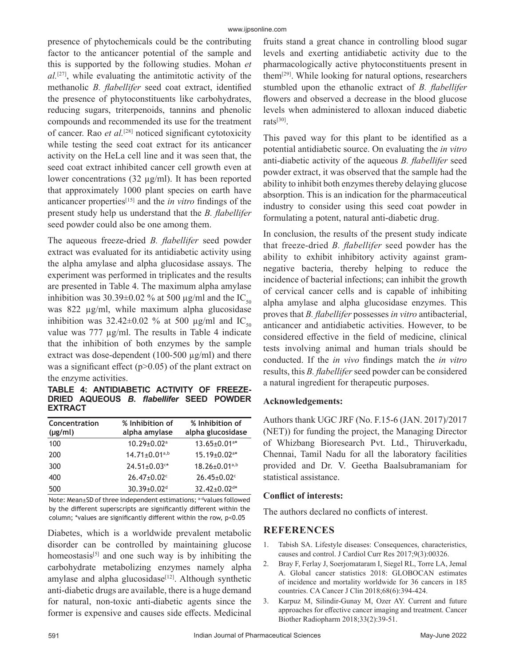presence of phytochemicals could be the contributing factor to the anticancer potential of the sample and this is supported by the following studies. Mohan *et al.*[27], while evaluating the antimitotic activity of the methanolic *B. flabellifer* seed coat extract, identified the presence of phytoconstituents like carbohydrates, reducing sugars, triterpenoids, tannins and phenolic compounds and recommended its use for the treatment of cancer. Rao *et al.*[28] noticed significant cytotoxicity while testing the seed coat extract for its anticancer activity on the HeLa cell line and it was seen that, the seed coat extract inhibited cancer cell growth even at lower concentrations (32 µg/ml). It has been reported that approximately 1000 plant species on earth have anticancer properties[15] and the *in vitro* findings of the present study help us understand that the *B. flabellifer*  seed powder could also be one among them.

The aqueous freeze-dried *B. flabellifer* seed powder extract was evaluated for its antidiabetic activity using the alpha amylase and alpha glucosidase assays. The experiment was performed in triplicates and the results are presented in Table 4. The maximum alpha amylase inhibition was 30.39 $\pm$ 0.02 % at 500 µg/ml and the IC<sub>50</sub> was 822 µg/ml, while maximum alpha glucosidase inhibition was  $32.42\pm0.02$  % at 500 µg/ml and IC<sub>50</sub> value was 777 µg/ml. The results in Table 4 indicate that the inhibition of both enzymes by the sample extract was dose-dependent (100-500  $\mu$ g/ml) and there was a significant effect  $(p>0.05)$  of the plant extract on the enzyme activities.

**TABLE 4: ANTIDIABETIC ACTIVITY OF FREEZE-DRIED AQUEOUS** *B. flabellifer* **SEED POWDER EXTRACT**

| Concentration<br>$(\mu g/ml)$ | % Inhibition of<br>alpha amylase | % Inhibition of<br>alpha glucosidase |
|-------------------------------|----------------------------------|--------------------------------------|
| 100                           | $10.29 \pm 0.02$ <sup>a</sup>    | $13.65 \pm 0.01$ <sup>a*</sup>       |
| 200                           | $14.71 \pm 0.01^{a,b}$           | $15.19 \pm 0.02$ <sup>a*</sup>       |
| 300                           | $24.51 \pm 0.03$ <sup>c*</sup>   | $18.26 \pm 0.01^{a,b}$               |
| 400                           | $26.47 \pm 0.02$ c               | $26.45 \pm 0.02$ c                   |
| 500                           | $30.39 + 0.02$ <sup>d</sup>      | $32.42 \pm 0.02$ d*                  |

Note: Mean±SD of three independent estimations; a-dvalues followed by the different superscripts are significantly different within the column; \*values are significantly different within the row, p<0.05

Diabetes, which is a worldwide prevalent metabolic disorder can be controlled by maintaining glucose homeostasis<sup>[5]</sup> and one such way is by inhibiting the carbohydrate metabolizing enzymes namely alpha amylase and alpha glucosidase $[12]$ . Although synthetic anti-diabetic drugs are available, there is a huge demand for natural, non-toxic anti-diabetic agents since the former is expensive and causes side effects. Medicinal fruits stand a great chance in controlling blood sugar levels and exerting antidiabetic activity due to the pharmacologically active phytoconstituents present in them<sup>[29]</sup>. While looking for natural options, researchers stumbled upon the ethanolic extract of *B. flabellifer*  flowers and observed a decrease in the blood glucose levels when administered to alloxan induced diabetic rats[30].

This paved way for this plant to be identified as a potential antidiabetic source. On evaluating the *in vitro* anti-diabetic activity of the aqueous *B. flabellifer* seed powder extract, it was observed that the sample had the ability to inhibit both enzymes thereby delaying glucose absorption. This is an indication for the pharmaceutical industry to consider using this seed coat powder in formulating a potent, natural anti-diabetic drug.

In conclusion, the results of the present study indicate that freeze-dried *B. flabellifer* seed powder has the ability to exhibit inhibitory activity against gramnegative bacteria, thereby helping to reduce the incidence of bacterial infections; can inhibit the growth of cervical cancer cells and is capable of inhibiting alpha amylase and alpha glucosidase enzymes. This proves that *B. flabellifer* possesses *in vitro* antibacterial, anticancer and antidiabetic activities. However, to be considered effective in the field of medicine, clinical tests involving animal and human trials should be conducted. If the *in vivo* findings match the *in vitro* results, this *B. flabellifer* seed powder can be considered a natural ingredient for therapeutic purposes.

# **Acknowledgements:**

Authors thank UGC JRF (No. F.15-6 (JAN. 2017)/2017 (NET)) for funding the project, the Managing Director of Whizbang Bioresearch Pvt. Ltd., Thiruverkadu, Chennai, Tamil Nadu for all the laboratory facilities provided and Dr. V. Geetha Baalsubramaniam for statistical assistance.

# **Conflict of interests:**

The authors declared no conflicts of interest.

# **REFERENCES**

- 1. Tabish SA. [Lifestyle diseases: Consequences, characteristics,](https://medcraveonline.com/JCCR/lifestyle-diseases-consequences-characteristics-causes-and-control.html) [causes and control.](https://medcraveonline.com/JCCR/lifestyle-diseases-consequences-characteristics-causes-and-control.html) J Cardiol Curr Res 2017;9(3):00326.
- 2. Bray F, Ferlay J, Soerjomataram I, Siegel RL, Torre LA, Jemal A. [Global cancer statistics 2018: GLOBOCAN estimates](https://acsjournals.onlinelibrary.wiley.com/doi/full/10.3322/caac.21492) [of incidence and mortality worldwide for 36 cancers in 185](https://acsjournals.onlinelibrary.wiley.com/doi/full/10.3322/caac.21492) [countries.](https://acsjournals.onlinelibrary.wiley.com/doi/full/10.3322/caac.21492) CA Cancer J Clin 2018;68(6):394-424.
- 3. Karpuz M, Silindir-Gunay M, Ozer AY. [Current and future](https://www.liebertpub.com/doi/10.1089/cbr.2017.2378) [approaches for effective cancer imaging and treatment.](https://www.liebertpub.com/doi/10.1089/cbr.2017.2378) Cancer Biother Radiopharm 2018;33(2):39-51.